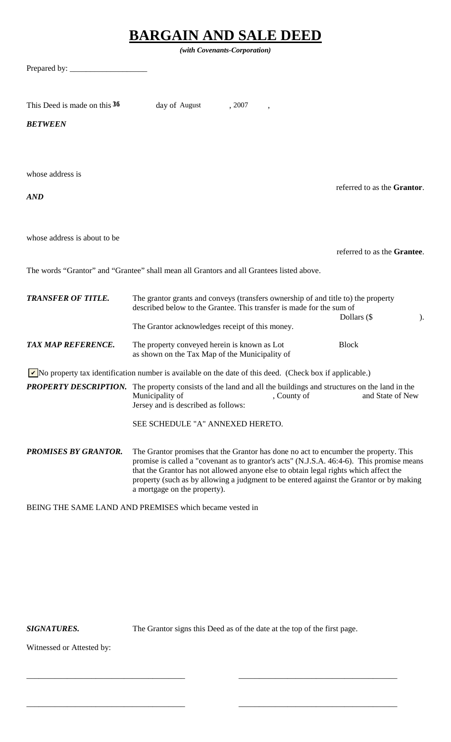| <b>BARGAIN AND SALE DEED</b> |                                                                                                                                                                                                                                                                                                                                                                                                      |  |  |
|------------------------------|------------------------------------------------------------------------------------------------------------------------------------------------------------------------------------------------------------------------------------------------------------------------------------------------------------------------------------------------------------------------------------------------------|--|--|
| (with Covenants-Corporation) |                                                                                                                                                                                                                                                                                                                                                                                                      |  |  |
| Prepared by:                 |                                                                                                                                                                                                                                                                                                                                                                                                      |  |  |
|                              |                                                                                                                                                                                                                                                                                                                                                                                                      |  |  |
| This Deed is made on this 36 | day of August<br>, 2007                                                                                                                                                                                                                                                                                                                                                                              |  |  |
| <b>BETWEEN</b>               |                                                                                                                                                                                                                                                                                                                                                                                                      |  |  |
|                              |                                                                                                                                                                                                                                                                                                                                                                                                      |  |  |
|                              |                                                                                                                                                                                                                                                                                                                                                                                                      |  |  |
| whose address is             | referred to as the Grantor.                                                                                                                                                                                                                                                                                                                                                                          |  |  |
| AND                          |                                                                                                                                                                                                                                                                                                                                                                                                      |  |  |
|                              |                                                                                                                                                                                                                                                                                                                                                                                                      |  |  |
| whose address is about to be |                                                                                                                                                                                                                                                                                                                                                                                                      |  |  |
|                              | referred to as the Grantee.                                                                                                                                                                                                                                                                                                                                                                          |  |  |
|                              | The words "Grantor" and "Grantee" shall mean all Grantors and all Grantees listed above.                                                                                                                                                                                                                                                                                                             |  |  |
| <b>TRANSFER OF TITLE.</b>    | The grantor grants and conveys (transfers ownership of and title to) the property<br>described below to the Grantee. This transfer is made for the sum of<br>Dollars (\$<br>$\mathcal{L}$                                                                                                                                                                                                            |  |  |
|                              | The Grantor acknowledges receipt of this money.                                                                                                                                                                                                                                                                                                                                                      |  |  |
| <b>TAX MAP REFERENCE.</b>    | The property conveyed herein is known as Lot<br><b>Block</b><br>as shown on the Tax Map of the Municipality of                                                                                                                                                                                                                                                                                       |  |  |
|                              | No property tax identification number is available on the date of this deed. (Check box if applicable.)                                                                                                                                                                                                                                                                                              |  |  |
|                              | <b>PROPERTY DESCRIPTION.</b> The property consists of the land and all the buildings and structures on the land in the<br>Municipality of<br>, County of<br>and State of New<br>Jersey and is described as follows:                                                                                                                                                                                  |  |  |
|                              | SEE SCHEDULE "A" ANNEXED HERETO.                                                                                                                                                                                                                                                                                                                                                                     |  |  |
| <b>PROMISES BY GRANTOR.</b>  | The Grantor promises that the Grantor has done no act to encumber the property. This<br>promise is called a "covenant as to grantor's acts" (N.J.S.A. 46:4-6). This promise means<br>that the Grantor has not allowed anyone else to obtain legal rights which affect the<br>property (such as by allowing a judgment to be entered against the Grantor or by making<br>a mortgage on the property). |  |  |

BEING THE SAME LAND AND PREMISES which became vested in

*SIGNATURES.* The Grantor signs this Deed as of the date at the top of the first page.

\_\_\_\_\_\_\_\_\_\_\_\_\_\_\_\_\_\_\_\_\_\_\_\_\_\_\_\_\_\_\_\_\_\_\_\_\_\_\_ \_\_\_\_\_\_\_\_\_\_\_\_\_\_\_\_\_\_\_\_\_\_\_\_\_\_\_\_\_\_\_\_\_\_\_\_\_\_\_

\_\_\_\_\_\_\_\_\_\_\_\_\_\_\_\_\_\_\_\_\_\_\_\_\_\_\_\_\_\_\_\_\_\_\_\_\_\_\_ \_\_\_\_\_\_\_\_\_\_\_\_\_\_\_\_\_\_\_\_\_\_\_\_\_\_\_\_\_\_\_\_\_\_\_\_\_\_\_

Witnessed or Attested by: